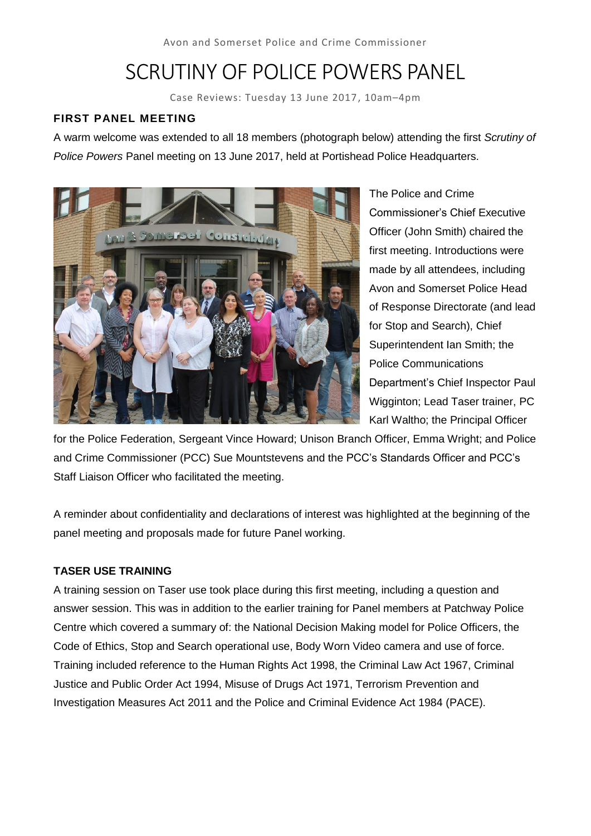# SCRUTINY OF POLICE POWERS PANEL

Case Reviews: Tuesday 13 June 2017, 10am–4pm

### **FIRST PANEL MEETING**

A warm welcome was extended to all 18 members (photograph below) attending the first *Scrutiny of Police Powers* Panel meeting on 13 June 2017, held at Portishead Police Headquarters.



The Police and Crime Commissioner's Chief Executive Officer (John Smith) chaired the first meeting. Introductions were made by all attendees, including Avon and Somerset Police Head of Response Directorate (and lead for Stop and Search), Chief Superintendent Ian Smith; the Police Communications Department's Chief Inspector Paul Wigginton; Lead Taser trainer, PC Karl Waltho; the Principal Officer

for the Police Federation, Sergeant Vince Howard; Unison Branch Officer, Emma Wright; and Police and Crime Commissioner (PCC) Sue Mountstevens and the PCC's Standards Officer and PCC's Staff Liaison Officer who facilitated the meeting.

A reminder about confidentiality and declarations of interest was highlighted at the beginning of the panel meeting and proposals made for future Panel working.

### **TASER USE TRAINING**

A training session on Taser use took place during this first meeting, including a question and answer session. This was in addition to the earlier training for Panel members at Patchway Police Centre which covered a summary of: the National Decision Making model for Police Officers, the Code of Ethics, Stop and Search operational use, Body Worn Video camera and use of force. Training included reference to the Human Rights Act 1998, the Criminal Law Act 1967, Criminal Justice and Public Order Act 1994, Misuse of Drugs Act 1971, Terrorism Prevention and Investigation Measures Act 2011 and the Police and Criminal Evidence Act 1984 (PACE).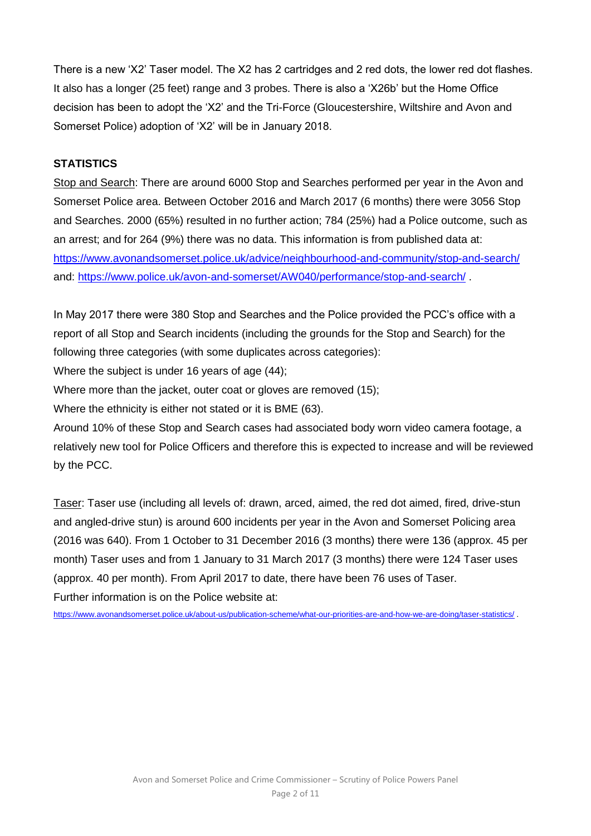There is a new 'X2' Taser model. The X2 has 2 cartridges and 2 red dots, the lower red dot flashes. It also has a longer (25 feet) range and 3 probes. There is also a 'X26b' but the Home Office decision has been to adopt the 'X2' and the Tri-Force (Gloucestershire, Wiltshire and Avon and Somerset Police) adoption of 'X2' will be in January 2018.

### **STATISTICS**

Stop and Search: There are around 6000 Stop and Searches performed per year in the Avon and Somerset Police area. Between October 2016 and March 2017 (6 months) there were 3056 Stop and Searches. 2000 (65%) resulted in no further action; 784 (25%) had a Police outcome, such as an arrest; and for 264 (9%) there was no data. This information is from published data at: <https://www.avonandsomerset.police.uk/advice/neighbourhood-and-community/stop-and-search/> and: <https://www.police.uk/avon-and-somerset/AW040/performance/stop-and-search/> .

In May 2017 there were 380 Stop and Searches and the Police provided the PCC's office with a report of all Stop and Search incidents (including the grounds for the Stop and Search) for the following three categories (with some duplicates across categories):

Where the subject is under 16 years of age (44);

Where more than the jacket, outer coat or gloves are removed (15);

Where the ethnicity is either not stated or it is BME (63).

Around 10% of these Stop and Search cases had associated body worn video camera footage, a relatively new tool for Police Officers and therefore this is expected to increase and will be reviewed by the PCC.

Taser: Taser use (including all levels of: drawn, arced, aimed, the red dot aimed, fired, drive-stun and angled-drive stun) is around 600 incidents per year in the Avon and Somerset Policing area (2016 was 640). From 1 October to 31 December 2016 (3 months) there were 136 (approx. 45 per month) Taser uses and from 1 January to 31 March 2017 (3 months) there were 124 Taser uses (approx. 40 per month). From April 2017 to date, there have been 76 uses of Taser. Further information is on the Police website at:

<https://www.avonandsomerset.police.uk/about-us/publication-scheme/what-our-priorities-are-and-how-we-are-doing/taser-statistics/> .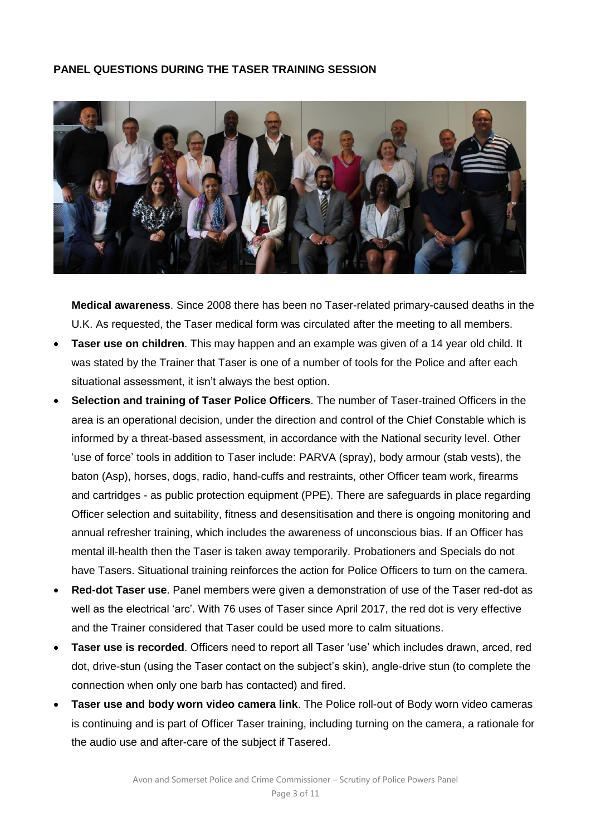#### **PANEL QUESTIONS DURING THE TASER TRAINING SESSION**



**Medical awareness**. Since 2008 there has been no Taser-related primary-caused deaths in the U.K. As requested, the Taser medical form was circulated after the meeting to all members.

- **Taser use on children**. This may happen and an example was given of a 14 year old child. It was stated by the Trainer that Taser is one of a number of tools for the Police and after each situational assessment, it isn't always the best option.
- **Selection and training of Taser Police Officers**. The number of Taser-trained Officers in the area is an operational decision, under the direction and control of the Chief Constable which is informed by a threat-based assessment, in accordance with the National security level. Other 'use of force' tools in addition to Taser include: PARVA (spray), body armour (stab vests), the baton (Asp), horses, dogs, radio, hand-cuffs and restraints, other Officer team work, firearms and cartridges - as public protection equipment (PPE). There are safeguards in place regarding Officer selection and suitability, fitness and desensitisation and there is ongoing monitoring and annual refresher training, which includes the awareness of unconscious bias. If an Officer has mental ill-health then the Taser is taken away temporarily. Probationers and Specials do not have Tasers. Situational training reinforces the action for Police Officers to turn on the camera.
- **Red-dot Taser use**. Panel members were given a demonstration of use of the Taser red-dot as well as the electrical 'arc'. With 76 uses of Taser since April 2017, the red dot is very effective and the Trainer considered that Taser could be used more to calm situations.
- **Taser use is recorded**. Officers need to report all Taser 'use' which includes drawn, arced, red dot, drive-stun (using the Taser contact on the subject's skin), angle-drive stun (to complete the connection when only one barb has contacted) and fired.
- **Taser use and body worn video camera link**. The Police roll-out of Body worn video cameras is continuing and is part of Officer Taser training, including turning on the camera, a rationale for the audio use and after-care of the subject if Tasered.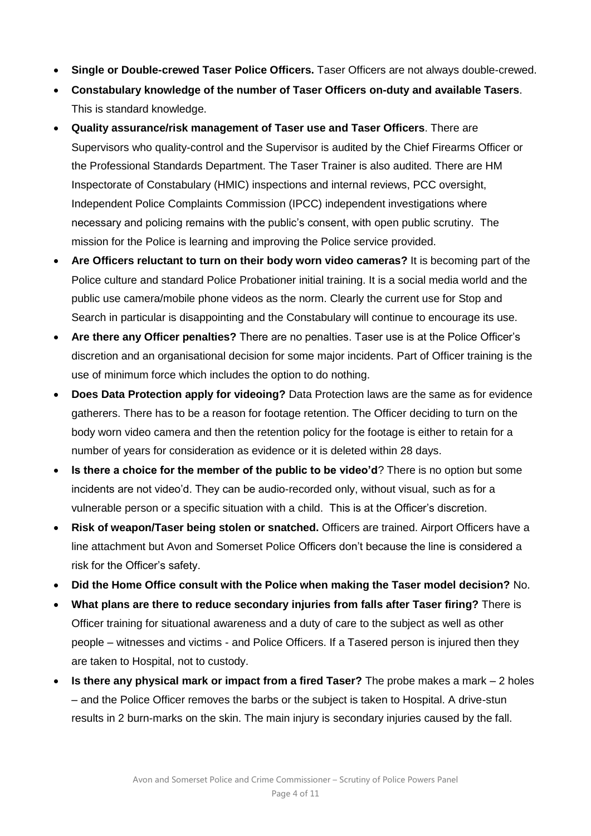- **Single or Double-crewed Taser Police Officers.** Taser Officers are not always double-crewed.
- **Constabulary knowledge of the number of Taser Officers on-duty and available Tasers**. This is standard knowledge.
- **Quality assurance/risk management of Taser use and Taser Officers**. There are Supervisors who quality-control and the Supervisor is audited by the Chief Firearms Officer or the Professional Standards Department. The Taser Trainer is also audited. There are HM Inspectorate of Constabulary (HMIC) inspections and internal reviews, PCC oversight, Independent Police Complaints Commission (IPCC) independent investigations where necessary and policing remains with the public's consent, with open public scrutiny. The mission for the Police is learning and improving the Police service provided.
- **Are Officers reluctant to turn on their body worn video cameras?** It is becoming part of the Police culture and standard Police Probationer initial training. It is a social media world and the public use camera/mobile phone videos as the norm. Clearly the current use for Stop and Search in particular is disappointing and the Constabulary will continue to encourage its use.
- **Are there any Officer penalties?** There are no penalties. Taser use is at the Police Officer's discretion and an organisational decision for some major incidents. Part of Officer training is the use of minimum force which includes the option to do nothing.
- **Does Data Protection apply for videoing?** Data Protection laws are the same as for evidence gatherers. There has to be a reason for footage retention. The Officer deciding to turn on the body worn video camera and then the retention policy for the footage is either to retain for a number of years for consideration as evidence or it is deleted within 28 days.
- **Is there a choice for the member of the public to be video'd**? There is no option but some incidents are not video'd. They can be audio-recorded only, without visual, such as for a vulnerable person or a specific situation with a child. This is at the Officer's discretion.
- **Risk of weapon/Taser being stolen or snatched.** Officers are trained. Airport Officers have a line attachment but Avon and Somerset Police Officers don't because the line is considered a risk for the Officer's safety.
- **Did the Home Office consult with the Police when making the Taser model decision?** No.
- **What plans are there to reduce secondary injuries from falls after Taser firing?** There is Officer training for situational awareness and a duty of care to the subject as well as other people – witnesses and victims - and Police Officers. If a Tasered person is injured then they are taken to Hospital, not to custody.
- **Is there any physical mark or impact from a fired Taser?** The probe makes a mark 2 holes – and the Police Officer removes the barbs or the subject is taken to Hospital. A drive-stun results in 2 burn-marks on the skin. The main injury is secondary injuries caused by the fall.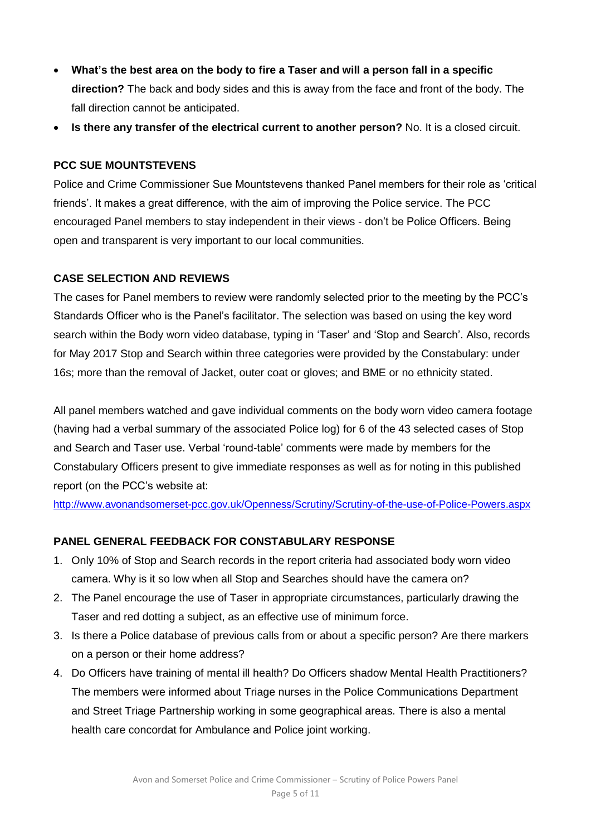- **What's the best area on the body to fire a Taser and will a person fall in a specific direction?** The back and body sides and this is away from the face and front of the body. The fall direction cannot be anticipated.
- **Is there any transfer of the electrical current to another person?** No. It is a closed circuit.

### **PCC SUE MOUNTSTEVENS**

Police and Crime Commissioner Sue Mountstevens thanked Panel members for their role as 'critical friends'. It makes a great difference, with the aim of improving the Police service. The PCC encouraged Panel members to stay independent in their views - don't be Police Officers. Being open and transparent is very important to our local communities.

### **CASE SELECTION AND REVIEWS**

The cases for Panel members to review were randomly selected prior to the meeting by the PCC's Standards Officer who is the Panel's facilitator. The selection was based on using the key word search within the Body worn video database, typing in 'Taser' and 'Stop and Search'. Also, records for May 2017 Stop and Search within three categories were provided by the Constabulary: under 16s; more than the removal of Jacket, outer coat or gloves; and BME or no ethnicity stated.

All panel members watched and gave individual comments on the body worn video camera footage (having had a verbal summary of the associated Police log) for 6 of the 43 selected cases of Stop and Search and Taser use. Verbal 'round-table' comments were made by members for the Constabulary Officers present to give immediate responses as well as for noting in this published report (on the PCC's website at:

<http://www.avonandsomerset-pcc.gov.uk/Openness/Scrutiny/Scrutiny-of-the-use-of-Police-Powers.aspx>

### **PANEL GENERAL FEEDBACK FOR CONSTABULARY RESPONSE**

- 1. Only 10% of Stop and Search records in the report criteria had associated body worn video camera. Why is it so low when all Stop and Searches should have the camera on?
- 2. The Panel encourage the use of Taser in appropriate circumstances, particularly drawing the Taser and red dotting a subject, as an effective use of minimum force.
- 3. Is there a Police database of previous calls from or about a specific person? Are there markers on a person or their home address?
- 4. Do Officers have training of mental ill health? Do Officers shadow Mental Health Practitioners? The members were informed about Triage nurses in the Police Communications Department and Street Triage Partnership working in some geographical areas. There is also a mental health care concordat for Ambulance and Police joint working.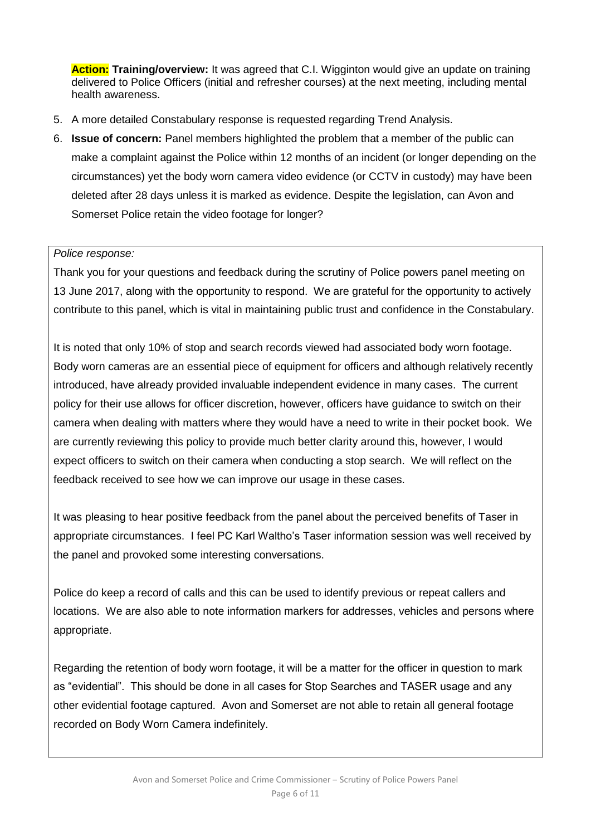**Action: Training/overview:** It was agreed that C.I. Wigginton would give an update on training delivered to Police Officers (initial and refresher courses) at the next meeting, including mental health awareness.

- 5. A more detailed Constabulary response is requested regarding Trend Analysis.
- 6. **Issue of concern:** Panel members highlighted the problem that a member of the public can make a complaint against the Police within 12 months of an incident (or longer depending on the circumstances) yet the body worn camera video evidence (or CCTV in custody) may have been deleted after 28 days unless it is marked as evidence. Despite the legislation, can Avon and Somerset Police retain the video footage for longer?

### *Police response:*

Thank you for your questions and feedback during the scrutiny of Police powers panel meeting on 13 June 2017, along with the opportunity to respond. We are grateful for the opportunity to actively contribute to this panel, which is vital in maintaining public trust and confidence in the Constabulary.

It is noted that only 10% of stop and search records viewed had associated body worn footage. Body worn cameras are an essential piece of equipment for officers and although relatively recently introduced, have already provided invaluable independent evidence in many cases. The current policy for their use allows for officer discretion, however, officers have guidance to switch on their camera when dealing with matters where they would have a need to write in their pocket book. We are currently reviewing this policy to provide much better clarity around this, however, I would expect officers to switch on their camera when conducting a stop search. We will reflect on the feedback received to see how we can improve our usage in these cases.

It was pleasing to hear positive feedback from the panel about the perceived benefits of Taser in appropriate circumstances. I feel PC Karl Waltho's Taser information session was well received by the panel and provoked some interesting conversations.

Police do keep a record of calls and this can be used to identify previous or repeat callers and locations. We are also able to note information markers for addresses, vehicles and persons where appropriate.

Regarding the retention of body worn footage, it will be a matter for the officer in question to mark as "evidential". This should be done in all cases for Stop Searches and TASER usage and any other evidential footage captured. Avon and Somerset are not able to retain all general footage recorded on Body Worn Camera indefinitely.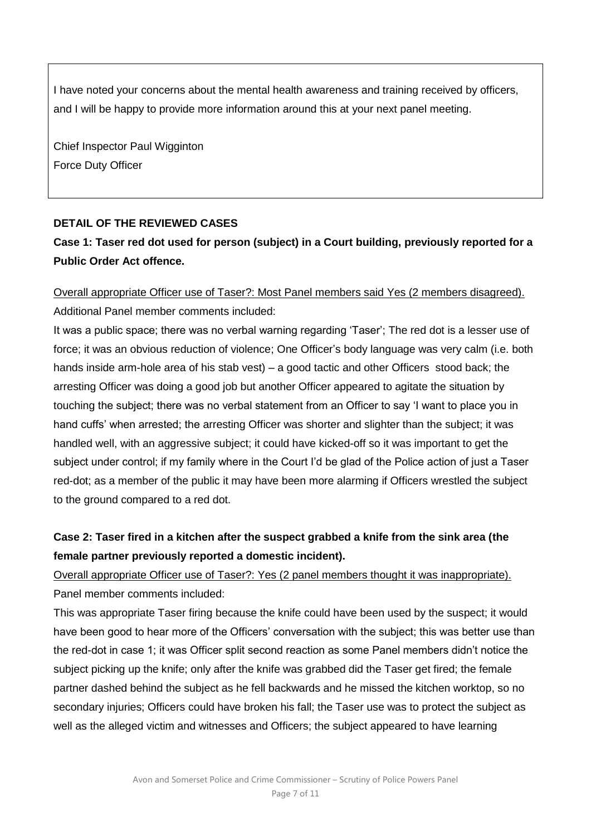I have noted your concerns about the mental health awareness and training received by officers, and I will be happy to provide more information around this at your next panel meeting.

Chief Inspector Paul Wigginton Force Duty Officer

### **DETAIL OF THE REVIEWED CASES**

### **Case 1: Taser red dot used for person (subject) in a Court building, previously reported for a Public Order Act offence.**

## Overall appropriate Officer use of Taser?: Most Panel members said Yes (2 members disagreed).

Additional Panel member comments included:

It was a public space; there was no verbal warning regarding 'Taser'; The red dot is a lesser use of force; it was an obvious reduction of violence; One Officer's body language was very calm (i.e. both hands inside arm-hole area of his stab vest) – a good tactic and other Officers stood back; the arresting Officer was doing a good job but another Officer appeared to agitate the situation by touching the subject; there was no verbal statement from an Officer to say 'I want to place you in hand cuffs' when arrested; the arresting Officer was shorter and slighter than the subject; it was handled well, with an aggressive subject; it could have kicked-off so it was important to get the subject under control; if my family where in the Court I'd be glad of the Police action of just a Taser red-dot; as a member of the public it may have been more alarming if Officers wrestled the subject to the ground compared to a red dot.

### **Case 2: Taser fired in a kitchen after the suspect grabbed a knife from the sink area (the female partner previously reported a domestic incident).**

Overall appropriate Officer use of Taser?: Yes (2 panel members thought it was inappropriate). Panel member comments included:

This was appropriate Taser firing because the knife could have been used by the suspect; it would have been good to hear more of the Officers' conversation with the subject; this was better use than the red-dot in case 1; it was Officer split second reaction as some Panel members didn't notice the subject picking up the knife; only after the knife was grabbed did the Taser get fired; the female partner dashed behind the subject as he fell backwards and he missed the kitchen worktop, so no secondary injuries; Officers could have broken his fall; the Taser use was to protect the subject as well as the alleged victim and witnesses and Officers; the subject appeared to have learning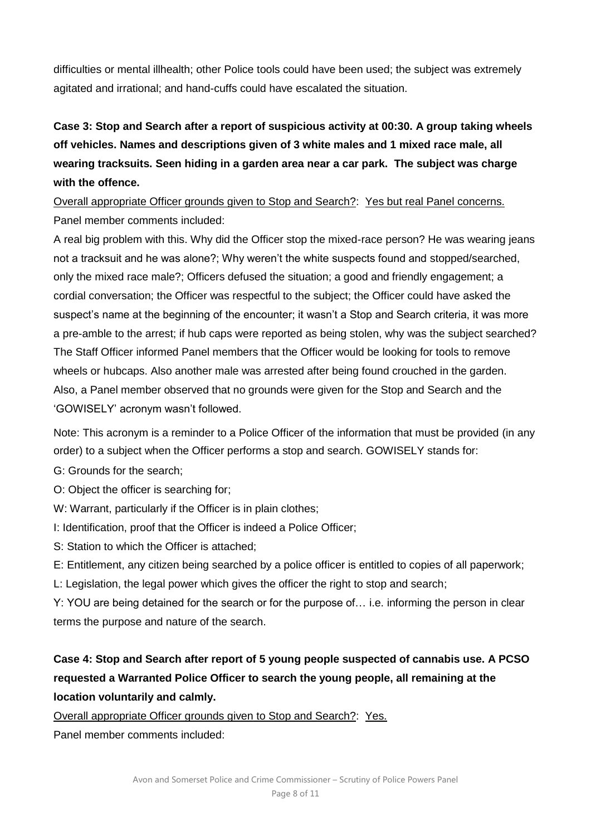difficulties or mental illhealth; other Police tools could have been used; the subject was extremely agitated and irrational; and hand-cuffs could have escalated the situation.

**Case 3: Stop and Search after a report of suspicious activity at 00:30. A group taking wheels off vehicles. Names and descriptions given of 3 white males and 1 mixed race male, all wearing tracksuits. Seen hiding in a garden area near a car park. The subject was charge with the offence.**

Overall appropriate Officer grounds given to Stop and Search?: Yes but real Panel concerns. Panel member comments included:

A real big problem with this. Why did the Officer stop the mixed-race person? He was wearing jeans not a tracksuit and he was alone?; Why weren't the white suspects found and stopped/searched, only the mixed race male?; Officers defused the situation; a good and friendly engagement; a cordial conversation; the Officer was respectful to the subject; the Officer could have asked the suspect's name at the beginning of the encounter; it wasn't a Stop and Search criteria, it was more a pre-amble to the arrest; if hub caps were reported as being stolen, why was the subject searched? The Staff Officer informed Panel members that the Officer would be looking for tools to remove wheels or hubcaps. Also another male was arrested after being found crouched in the garden. Also, a Panel member observed that no grounds were given for the Stop and Search and the 'GOWISELY' acronym wasn't followed.

Note: This acronym is a reminder to a Police Officer of the information that must be provided (in any order) to a subject when the Officer performs a stop and search. GOWISELY stands for:

- G: Grounds for the search;
- O: Object the officer is searching for;
- W: Warrant, particularly if the Officer is in plain clothes;
- I: Identification, proof that the Officer is indeed a Police Officer;
- S: Station to which the Officer is attached;

E: Entitlement, any citizen being searched by a police officer is entitled to copies of all paperwork;

L: Legislation, the legal power which gives the officer the right to stop and search;

Y: YOU are being detained for the search or for the purpose of… i.e. informing the person in clear terms the purpose and nature of the search.

### **Case 4: Stop and Search after report of 5 young people suspected of cannabis use. A PCSO requested a Warranted Police Officer to search the young people, all remaining at the location voluntarily and calmly.**

Overall appropriate Officer grounds given to Stop and Search?: Yes.

Panel member comments included: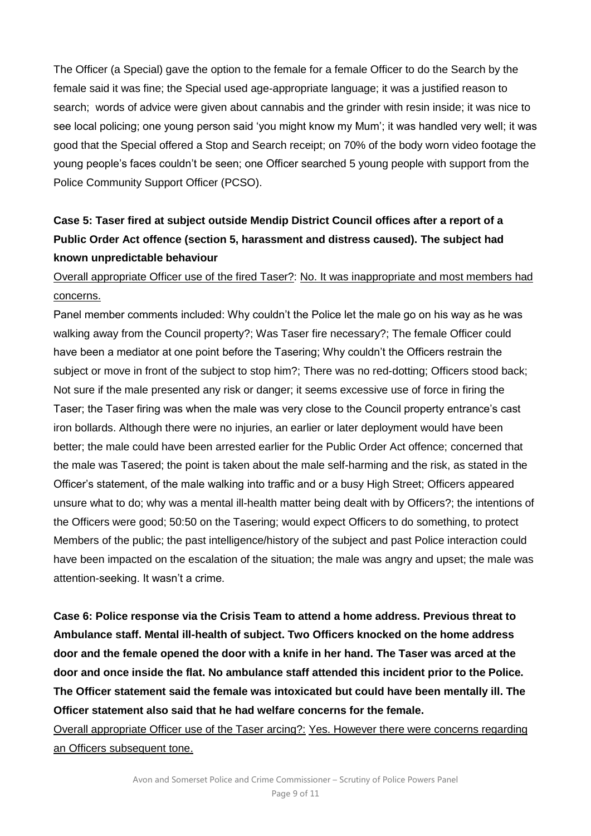The Officer (a Special) gave the option to the female for a female Officer to do the Search by the female said it was fine; the Special used age-appropriate language; it was a justified reason to search; words of advice were given about cannabis and the grinder with resin inside; it was nice to see local policing; one young person said 'you might know my Mum'; it was handled very well; it was good that the Special offered a Stop and Search receipt; on 70% of the body worn video footage the young people's faces couldn't be seen; one Officer searched 5 young people with support from the Police Community Support Officer (PCSO).

## **Case 5: Taser fired at subject outside Mendip District Council offices after a report of a Public Order Act offence (section 5, harassment and distress caused). The subject had known unpredictable behaviour**

### Overall appropriate Officer use of the fired Taser?: No. It was inappropriate and most members had concerns.

Panel member comments included: Why couldn't the Police let the male go on his way as he was walking away from the Council property?; Was Taser fire necessary?; The female Officer could have been a mediator at one point before the Tasering; Why couldn't the Officers restrain the subject or move in front of the subject to stop him?; There was no red-dotting; Officers stood back; Not sure if the male presented any risk or danger; it seems excessive use of force in firing the Taser; the Taser firing was when the male was very close to the Council property entrance's cast iron bollards. Although there were no injuries, an earlier or later deployment would have been better; the male could have been arrested earlier for the Public Order Act offence; concerned that the male was Tasered; the point is taken about the male self-harming and the risk, as stated in the Officer's statement, of the male walking into traffic and or a busy High Street; Officers appeared unsure what to do; why was a mental ill-health matter being dealt with by Officers?; the intentions of the Officers were good; 50:50 on the Tasering; would expect Officers to do something, to protect Members of the public; the past intelligence/history of the subject and past Police interaction could have been impacted on the escalation of the situation; the male was angry and upset; the male was attention-seeking. It wasn't a crime.

**Case 6: Police response via the Crisis Team to attend a home address. Previous threat to Ambulance staff. Mental ill-health of subject. Two Officers knocked on the home address door and the female opened the door with a knife in her hand. The Taser was arced at the door and once inside the flat. No ambulance staff attended this incident prior to the Police. The Officer statement said the female was intoxicated but could have been mentally ill. The Officer statement also said that he had welfare concerns for the female.**

Overall appropriate Officer use of the Taser arcing?: Yes. However there were concerns regarding an Officers subsequent tone.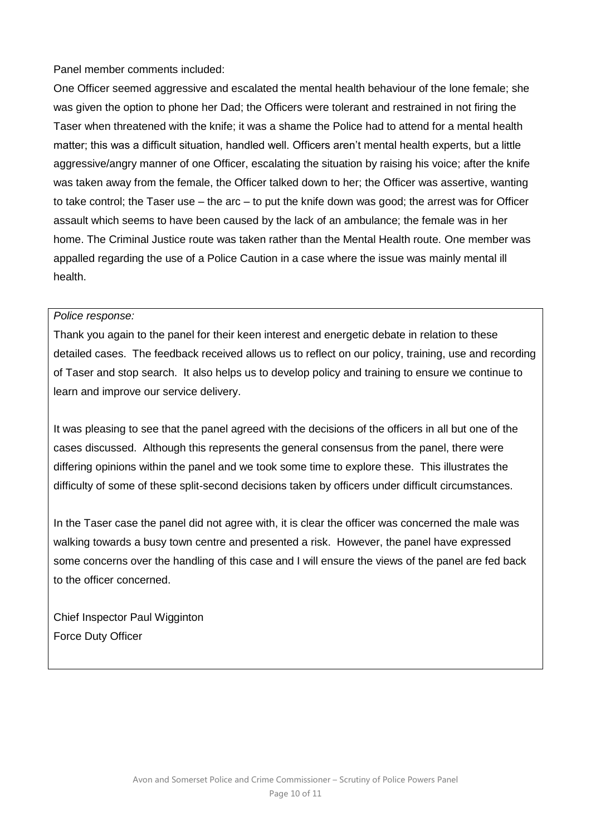Panel member comments included:

One Officer seemed aggressive and escalated the mental health behaviour of the lone female; she was given the option to phone her Dad; the Officers were tolerant and restrained in not firing the Taser when threatened with the knife; it was a shame the Police had to attend for a mental health matter; this was a difficult situation, handled well. Officers aren't mental health experts, but a little aggressive/angry manner of one Officer, escalating the situation by raising his voice; after the knife was taken away from the female, the Officer talked down to her; the Officer was assertive, wanting to take control; the Taser use – the arc – to put the knife down was good; the arrest was for Officer assault which seems to have been caused by the lack of an ambulance; the female was in her home. The Criminal Justice route was taken rather than the Mental Health route. One member was appalled regarding the use of a Police Caution in a case where the issue was mainly mental ill health.

#### *Police response:*

Thank you again to the panel for their keen interest and energetic debate in relation to these detailed cases. The feedback received allows us to reflect on our policy, training, use and recording of Taser and stop search. It also helps us to develop policy and training to ensure we continue to learn and improve our service delivery.

It was pleasing to see that the panel agreed with the decisions of the officers in all but one of the cases discussed. Although this represents the general consensus from the panel, there were differing opinions within the panel and we took some time to explore these. This illustrates the difficulty of some of these split-second decisions taken by officers under difficult circumstances.

In the Taser case the panel did not agree with, it is clear the officer was concerned the male was walking towards a busy town centre and presented a risk. However, the panel have expressed some concerns over the handling of this case and I will ensure the views of the panel are fed back to the officer concerned.

Chief Inspector Paul Wigginton Force Duty Officer